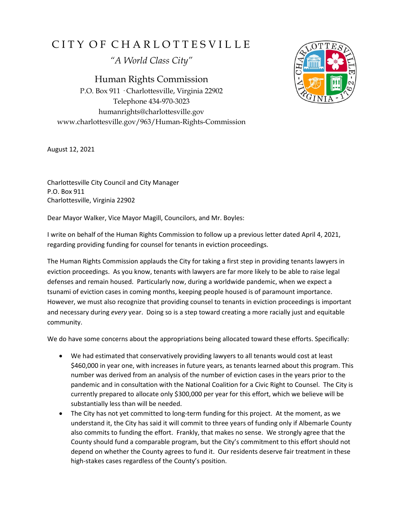## CITY OF CHARLOTTESVILLE

*"A World Class City"*

Human Rights Commission P.O. Box 911 · Charlottesville, Virginia 22902 Telephone 434-970-3023 humanrights@charlottesville.gov www.charlottesville.gov/963/Human-Rights-Commission



August 12, 2021

Charlottesville City Council and City Manager P.O. Box 911 Charlottesville, Virginia 22902

Dear Mayor Walker, Vice Mayor Magill, Councilors, and Mr. Boyles:

I write on behalf of the Human Rights Commission to follow up a previous letter dated April 4, 2021, regarding providing funding for counsel for tenants in eviction proceedings.

The Human Rights Commission applauds the City for taking a first step in providing tenants lawyers in eviction proceedings. As you know, tenants with lawyers are far more likely to be able to raise legal defenses and remain housed. Particularly now, during a worldwide pandemic, when we expect a tsunami of eviction cases in coming months, keeping people housed is of paramount importance. However, we must also recognize that providing counsel to tenants in eviction proceedings is important and necessary during *every* year. Doing so is a step toward creating a more racially just and equitable community.

We do have some concerns about the appropriations being allocated toward these efforts. Specifically:

- We had estimated that conservatively providing lawyers to all tenants would cost at least \$460,000 in year one, with increases in future years, as tenants learned about this program. This number was derived from an analysis of the number of eviction cases in the years prior to the pandemic and in consultation with the National Coalition for a Civic Right to Counsel. The City is currently prepared to allocate only \$300,000 per year for this effort, which we believe will be substantially less than will be needed.
- The City has not yet committed to long-term funding for this project. At the moment, as we understand it, the City has said it will commit to three years of funding only if Albemarle County also commits to funding the effort. Frankly, that makes no sense. We strongly agree that the County should fund a comparable program, but the City's commitment to this effort should not depend on whether the County agrees to fund it. Our residents deserve fair treatment in these high-stakes cases regardless of the County's position.